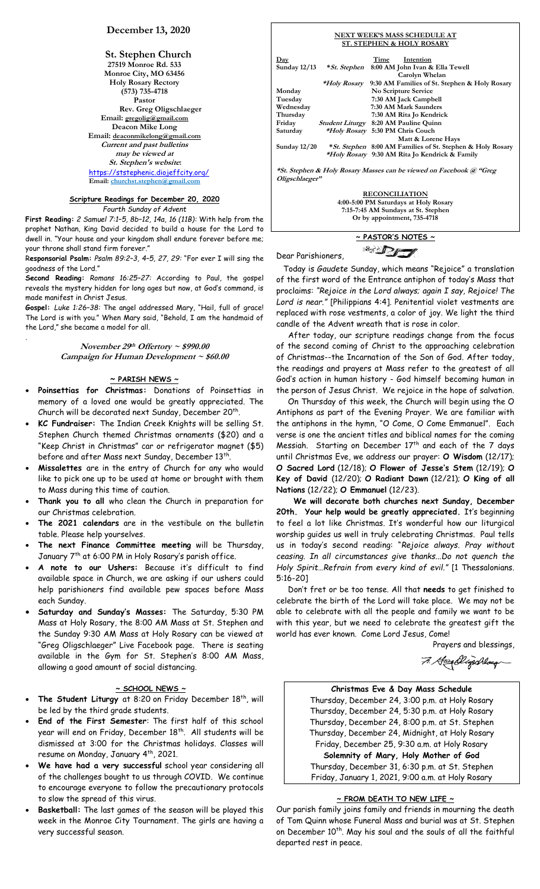# **December 13, 2020**

**St. Stephen Church 27519 Monroe Rd. 533 Monroe City, MO 63456 Holy Rosary Rectory (573) 735-4718 Pastor Rev. Greg Oligschlaeger Email: gregolig@gmail.com Deacon Mike Long Email: deaconmikelong@gmail.com Current and past bulletins may be viewed at St. Stephen's website:** <https://ststephenic.diojeffcity.org/> **Email: [churchst.stephen@gmail.com](mailto:churchst.stephen@gmail.com)**

# **Scripture Readings for December 20, 2020**

*Fourth Sunday of Advent*

**First Reading:** *2 Samuel 7:1–5, 8b–12, 14a, 16 (11B):* With help from the prophet Nathan, King David decided to build a house for the Lord to dwell in. "Your house and your kingdom shall endure forever before me; your throne shall stand firm forever."

R**esponsorial Psalm:** *Psalm 89:2–3, 4–5, 27, 29:* "For ever I will sing the goodness of the Lord."

**Second Reading:** *Romans 16:25–27:* According to Paul, the gospel reveals the mystery hidden for long ages but now, at God's command, is made manifest in Christ Jesus.

**Gospel:** *Luke 1:26–38:* The angel addressed Mary, "Hail, full of grace! The Lord is with you." When Mary said, "Behold, I am the handmaid of the Lord," she became a model for all.

.

**November 29 th Offertory ~ \$990.00 Campaign for Human Development ~ \$60.00**

# **~ PARISH NEWS ~**

- **Poinsettias for Christmas:** Donations of Poinsettias in memory of a loved one would be greatly appreciated. The Church will be decorated next Sunday, December 20<sup>th</sup>.
- **KC Fundraiser:** The Indian Creek Knights will be selling St. Stephen Church themed Christmas ornaments (\$20) and a "Keep Christ in Christmas" car or refrigerator magnet (\$5) before and after Mass next Sunday, December 13<sup>th</sup>.
- **Missalettes** are in the entry of Church for any who would like to pick one up to be used at home or brought with them to Mass during this time of caution.
- **Thank you to all** who clean the Church in preparation for our Christmas celebration.
- **The 2021 calendars** are in the vestibule on the bulletin table. Please help yourselves.
- **The next Finance Committee meeting** will be Thursday, January 7<sup>th</sup> at 6:00 PM in Holy Rosary's parish office.
- **A note to our Ushers:** Because it's difficult to find available space in Church, we are asking if our ushers could help parishioners find available pew spaces before Mass each Sunday.
- **Saturday and Sunday's Masses:** The Saturday, 5:30 PM Mass at Holy Rosary, the 8:00 AM Mass at St. Stephen and the Sunday 9:30 AM Mass at Holy Rosary can be viewed at "Greg Oligschlaeger" Live Facebook page. There is seating available in the Gym for St. Stephen's 8:00 AM Mass, allowing a good amount of social distancing.

## **~ SCHOOL NEWS ~**

- The Student Liturgy at 8:20 on Friday December 18<sup>th</sup>, will be led by the third grade students.
- **End of the First Semester**: The first half of this school year will end on Friday, December 18<sup>th</sup>. All students will be dismissed at 3:00 for the Christmas holidays. Classes will resume on Monday, January 4 th, 2021.
- **We have had a very successful** school year considering all of the challenges bought to us through COVID. We continue to encourage everyone to follow the precautionary protocols to slow the spread of this virus.
- **Basketball:** The last games of the season will be played this week in the Monroe City Tournament. The girls are having a very successful season.

| NEXT WEEK'S MASS SCHEDULE AT<br><b>ST. STEPHEN &amp; HOLY ROSARY</b> |                      |                                                                   |  |
|----------------------------------------------------------------------|----------------------|-------------------------------------------------------------------|--|
| $_{\rm{Day}}$                                                        |                      | Intention<br>Time                                                 |  |
| Sunday $12/13$                                                       | * <i>St. Stephen</i> | 8:00 AM John Ivan & Ella Tewell                                   |  |
|                                                                      |                      | Carolyn Whelan                                                    |  |
|                                                                      | <i>*Holy Rosary</i>  | 9:30 AM Families of St. Stephen & Holy Rosary                     |  |
| Monday                                                               |                      | No Scripture Service                                              |  |
| Tuesday                                                              |                      | 7:30 AM Jack Campbell                                             |  |
| Wednesday                                                            |                      | 7:30 AM Mark Saunders                                             |  |
| Thursday                                                             |                      | 7:30 AM Rita Jo Kendrick                                          |  |
| Friday                                                               |                      | Student Liturgy 8:20 AM Pauline Quinn                             |  |
| Saturday                                                             |                      | *Holy Rosary 5:30 PM Chris Couch                                  |  |
|                                                                      |                      | Matt & Lorene Hays                                                |  |
| Sunday $12/20$                                                       |                      | <i>*St. Stephen</i> 8:00 AM Families of St. Stephen & Holy Rosary |  |
|                                                                      |                      | <i>*Holy Rosary</i> 9:30 AM Rita Jo Kendrick & Family             |  |
| *St. Stephen & Holy Rosary Masses can be viewed on Facebook @ "Greg  |                      |                                                                   |  |

**\*St. Stephen & Holy Rosary Masses can be viewed on Facebook @ "Greg Oligschlaeger"**

> **RECONCILIATION 4:00-5:00 PM Saturdays at Holy Rosary 7:15-7:45 AM Sundays at St. Stephen Or by appointment, 735-4718**

**~ PASTOR'S NOTES ~**  $\mathbb{Z}$ 

Dear Parishioners,

Today is *Gaudete* Sunday, which means "Rejoice" a translation of the first word of the Entrance antiphon of today's Mass that proclaims: *"Rejoice in the Lord always; again I say, Rejoice! The Lord is near."* [Philippians 4:4]. Penitential violet vestments are replaced with rose vestments, a color of joy. We light the third candle of the Advent wreath that is rose in color.

 After today, our scripture readings change from the focus of the second coming of Christ to the approaching celebration of Christmas--the Incarnation of the Son of God. After today, the readings and prayers at Mass refer to the greatest of all God's action in human history - God himself becoming human in the person of Jesus Christ. We rejoice in the hope of salvation.

 On Thursday of this week, the Church will begin using the O Antiphons as part of the Evening Prayer. We are familiar with the antiphons in the hymn, "O Come, O Come Emmanuel". Each verse is one the ancient titles and biblical names for the coming Messiah. Starting on December  $17<sup>th</sup>$  and each of the 7 days until Christmas Eve, we address our prayer: **O Wisdom** (12/17); **O Sacred Lord** (12/18); **O Flower of Jesse's Stem** (12/19); **O Key of David** (12/20); **O Radiant Dawn** (12/21); **O King of all Nations** (12/22); **O Emmanuel** (12/23).

 **We will decorate both churches next Sunday, December 20th. Your help would be greatly appreciated.** It's beginning to feel a lot like Christmas. It's wonderful how our liturgical worship guides us well in truly celebrating Christmas. Paul tells us in today's second reading: "*Rejoice always. Pray without ceasing. In all circumstances give thanks...Do not quench the Holy Spirit…Refrain from every kind of evil."* [1 Thessalonians. 5:16-20]

 Don't fret or be too tense. All that **needs** to get finished to celebrate the birth of the Lord will take place. We may not be able to celebrate with all the people and family we want to be with this year, but we need to celebrate the greatest gift the world has ever known. Come Lord Jesus, Come!

Prayers and blessings,

7. Geen Digschlaug

# **Christmas Eve & Day Mass Schedule** Thursday, December 24, 3:00 p.m. at Holy Rosary Thursday, December 24, 5:30 p.m. at Holy Rosary Thursday, December 24, 8:00 p.m. at St. Stephen Thursday, December 24, Midnight, at Holy Rosary Friday, December 25, 9:30 a.m. at Holy Rosary **Solemnity of Mary, Holy Mother of God** Thursday, December 31, 6:30 p.m. at St. Stephen Friday, January 1, 2021, 9:00 a.m. at Holy Rosary

# **~ FROM DEATH TO NEW LIFE ~**

Our parish family joins family and friends in mourning the death of Tom Quinn whose Funeral Mass and burial was at St. Stephen on December 10<sup>th</sup>. May his soul and the souls of all the faithful departed rest in peace.